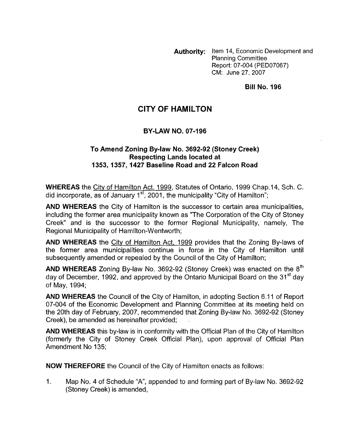**Authority:** Item 14, Economic Development and Planning Committee Report: 07-004 (PED07067) CM: June 27,2007

#### **Bill No. 196**

# **CITY OF HAMILTON**

#### **BY-LAW NO. 07-196**

#### **To Amend Zoning Bylaw No. 3692-92 (Stoney Creek) Respecting Lands located at 1353,1357,1427 Baseline Road and 22 Falcon Road**

**WHEREAS** the City of Hamilton Act. 1999, Statutes of Ontario, 1999 Chap.14, Sch. C. did incorporate, as of January  $1<sup>st</sup>$ , 2001, the municipality "City of Hamilton";

**AND WHEREAS** the City of Hamilton is the successor to certain area municipalities, including the former area municipality known as "The Corporation of the City of Stoney Creek" and is the successor to the former Regional Municipality, namely, The Regional Municipality of Hamilton-Wentworth;

**AND WHEREAS** the City of Hamilton Act, 1999 provides that the Zoning By-laws of the former area municipalities continue in force in the City of Hamilton until subsequently amended or repealed by the Council of the City of Hamilton;

**AND WHEREAS** Zoning By-law No. 3692-92 (Stoney Creek) was enacted on the 8'h day of December, 1992, and approved by the Ontario Municipal Board on the 31<sup>st</sup> dav of May, 1994;

**AND WHEREAS** the Council of the City of Hamilton, in adopting Section 6.11 of Report 07-004 of the Economic Development and Planning Committee at its meeting held on the 20th day of February, 2007, recommended that Zoning By-law No. 3692-92 (Stoney Creek), be amended as hereinafter provided; .

**AND WHEREAS** this by-law is in conformity with the Official Plan of the City of Hamilton (formerly the City of Stoney Creek Official Plan), upon approval of Official Plan Amendment No 135;

**NOW THEREFORE** the Council of the City of Hamilton enacts as follows:

1. Map No. 4 of Schedule "A", appended to and forming part of By-law No. 3692-92 (Stoney Creek) is amended,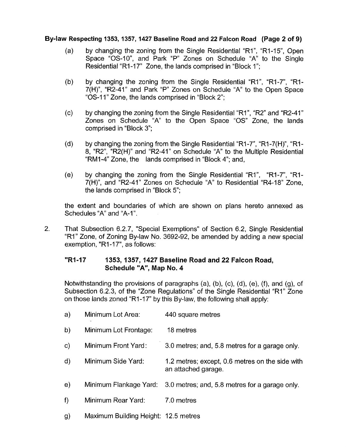### **Bylaw Respecting 1353,1357,1427 Baseline Road and 22 Falcon Road (Page 2 of 9)**

- by changing the zoning from the Single Residential "RI", "R1-15", Open  $(a)$ Space "0s-lo", and Park "P" Zones on Schedule "A" to the Single Residential "R1-17" Zone, the lands comprised in "Block 1":
- $(b)$ by changing the zoning from the Single Residential "RI", "RI-7", "Rl-7(H)", "R2-41" and Park "P" Zones on Schedule "A' to the Open Space "0s-I 1" Zone, the lands comprised in "Block 2";
- $(c)$ by changing the zoning from the Single Residential "RI", "R2" and "R2-41" Zones on Schedule "A' to the Open Space *"0s"* Zone, the lands comprised in "Block 3";
- $(d)$ by changing the zoning from the Single Residential "R1-7", "R1-7(H)", "Rl-8, "R2", "R2(H)" and "R2-41" on Schedule "A" to the Multiple Residential "RMI-4" Zone, the lands comprised in "Block 4"; and,
- $(e)$ by changing the zoning from the Single Residential "RI", "R1-7", "Rl-7(H)", and "R2-41" Zones on Schedule "A" to Residential "R4-18" Zone, the lands comprised in "Block 5";

the extent and boundaries of which are shown on plans hereto annexed as Schedules "A" and "A-I".

2. That Subsection 6.2.7, "Special Exemptions" of Section 6.2, Single Residential "RI" Zone, of Zoning By-law No. 3692-92, be amended by adding a new special exemption, "R1-17", as follows:

## **"RI-17 1353,1357,1427 Baseline Road and 22 Falcon Road, Schedule "A", Map No. 4**

Notwithstanding the provisions of paragraphs (a), (b), (c), (d), (e), (f), and (g), of Subsection 6.2.3, of the "Zone Regulations" of the Single Residential "RI" Zone on those lands zoned "R1-17" by this By-law, the following shall apply:

| a)           | Minimum Lot Area:                    | 440 square metres                                                      |
|--------------|--------------------------------------|------------------------------------------------------------------------|
| b)           | Minimum Lot Frontage:                | 18 metres                                                              |
| $\mathsf{c}$ | Minimum Front Yard:                  | 3.0 metres; and, 5.8 metres for a garage only.                         |
| $\mathsf{d}$ | Minimum Side Yard:                   | 1.2 metres; except, 0.6 metres on the side with<br>an attached garage. |
| e)           | Minimum Flankage Yard:               | 3.0 metres; and, 5.8 metres for a garage only.                         |
| f)           | Minimum Rear Yard:                   | 7.0 metres                                                             |
| g)           | Maximum Building Height: 12.5 metres |                                                                        |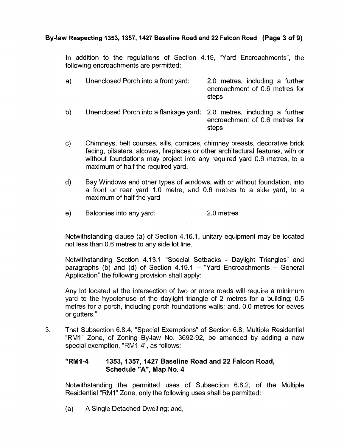## **By-law Respecting 1353,1357,1427 Baseline Road and 22 Falcon Road (Page 3 of 9)**

In addition to the regulations of Section 4.19, "Yard Encroachments", the following encroachments are permitted:

| a). | Unenclosed Porch into a front yard: | 2.0 metres, including a further<br>encroachment of 0.6 metres for<br>steps |
|-----|-------------------------------------|----------------------------------------------------------------------------|
|     |                                     |                                                                            |

- Unenclosed Porch into a flankage yard: 2.0 metres, including a further  $b)$ encroachment of 0.6 metres for steps
- $\mathsf{C}$ Chimneys, belt courses, sills, cornices, chimney breasts, decorative brick facing, pilasters, alcoves, fireplaces or other architectural features, with or without foundations may project into any required yard 0.6 metres, to a maximum of half the required yard.
- Bay Windows and other types of windows, with or without foundation, into  $\mathbf{d}$ a front or rear yard 1.0 metre; and 0.6 metres to a side yard, to a maximum of half the yard
- $e)$ Balconies into any yard: 2.0 metres

Notwithstanding clause (a) of Section 4.16.1, unitary equipment may be located not less than 0.6 metres to any side lot line.

Notwithstanding Section 4.13.1 "Special Setbacks - Daylight Triangles" and paragraphs (b) and (d) of Section  $4.19.1 -$  "Yard Encroachments – General Application" the following provision shall apply:

Any lot located at the intersection of two or more roads will require a minimum yard to the hypotenuse of the daylight triangle of 2 metres for a building; 0.5 metres for a porch, including porch foundations walls; and, 0.0 metres for eaves or gutters."

3. That Subsection 6.8.4, "Special Exemptions" of Section 6.8, Multiple Residential "RMI" Zone, of Zoning By-law No. 3692-92, be amended by adding a new special exemption, "RM1-4", as follows:

## **"RM 1-4 1353,1357,1427 Baseline Road and 22 Falcon Road, Schedule "A", Map No. 4**

Notwithstanding the permitted uses of Subsection 6.8.2, of the Multiple Residential "RMI" Zone, only the following uses shall be permitted:

(a) **A** Single Detached Dwelling; and,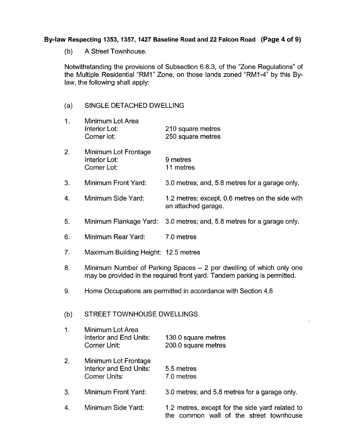## **By-law Respecting 1353,1357,1427 Baseline Road and 22 Falcon Road (Page 4 of 9)**

(b) A Street Townhouse.

Notwithstanding the provisions of Subsection 6.8.3, of the "Zone Regulations" of the Multiple Residential "RMI" Zone, on those lands zoned "RMI-4" by this Bylaw, the following shall apply:

#### $(a)$ SINGLE DETACHED DWELLING

| 1. | Minimum Lot Area<br><b>Interior Lot:</b><br>Corner lot: | 210 square metres<br>250 square metres                                 |
|----|---------------------------------------------------------|------------------------------------------------------------------------|
| 2. | Minimum Lot Frontage<br>Interior Lot:<br>Corner Lot:    | 9 metres<br>11 metres                                                  |
| 3. | Minimum Front Yard:                                     | 3.0 metres; and, 5.8 metres for a garage only.                         |
| 4. | Minimum Side Yard:                                      | 1.2 metres; except, 0.6 metres on the side with<br>an attached garage. |
|    |                                                         |                                                                        |

- 5. Minimum Flankage Yard: 3.0 metres; and, 5.8 metres for a garage only.
- 6. Minimum Rear Yard: 7.0 metres
- 7. Maximum Building Height: 12.5 metres
- 8. Minimum Number of Parking Spaces  $-2$  per dwelling of which only one may be provided in the required front yard. Tandem parking is permitted.
- 9. Home Occupations are permitted in accordance with Section 4.8

#### (b) STREET TOWNHOUSE DWELLINGS

- 1. Minimum Lot Area Interior and End Units: 130.0 square metres Corner Unit: 200.0 square metres
- 2. Minimum Lot Frontage Interior and End Units: 5.5 metres Corner Units: 7.0 metres
- 3. Minimum Front Yard: 3.0 metres; and 5.8 metres for a garage only.
- 4. Minimum Side Yard: 1.2 metres, except for the side yard related to the common wall of the street townhouse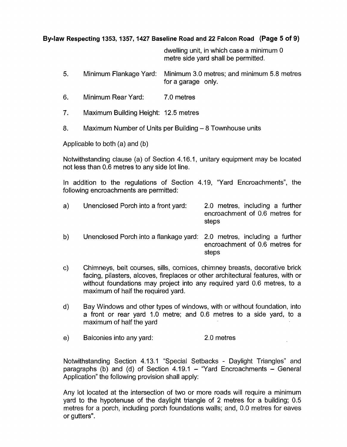## **Bylaw Respecting 1353,1357,1427 Baseline Road and 22 Falcon Road (Page 5** *of* **9)**

dwelling unit, in which case a minimum 0 metre side yard shall be permitted.

- 5. Minimum Flankage Yard: Minimum 3.0 metres; and minimum 5.8 metres for a garage only.
- 6. Minimum Rear Yard: 7.0 metres
- 7. Maximum Building Height: 12.5 metres
- 8. Maximum Number of Units per Building 8 Townhouse units

Applicable to both (a) and (b)

Notwithstanding clause (a) of Section 4.16.1, unitary equipment may be located not less than 0.6 metres to any side lot line.

In addition to the regulations of Section 4.19, "Yard Encroachments", the following encroachments are permitted:

| a) | Unenclosed Porch into a front yard: | 2.0 metres, including a further<br>encroachment of 0.6 metres for<br>steps |
|----|-------------------------------------|----------------------------------------------------------------------------|
|    |                                     |                                                                            |

- b) Unenclosed Porch into a flankage yard: 2.0 metres, including a further encroachment of 0.6 metres for steps
- c) Chimneys, belt courses, sills, cornices, chimney breasts, decorative brick facing, pilasters, alcoves, fireplaces or other architectural features, with or without foundations may project into any required yard 0.6 metres, to a maximum of half the required yard.
- d) Bay Windows and other types of windows, with or without foundation, into a front or rear yard 1.0 metre; and 0.6 metres to a side yard, to a maximum of half the yard
- e) Balconies into any yard: 2.0 metres

Notwithstanding Section 4.13.1 "Special Setbacks - Daylight Triangles" and paragraphs (b) and (d) of Section  $4.19.1 -$  "Yard Encroachments - General Application'' the following provision shall apply:

Any lot located at the intersection of two or more roads will require a minimum yard to the hypotenuse of the daylight triangle of 2 metres for a building; 0.5 metres for a porch, including porch foundations walls; and, 0.0 metres for eaves or gutters".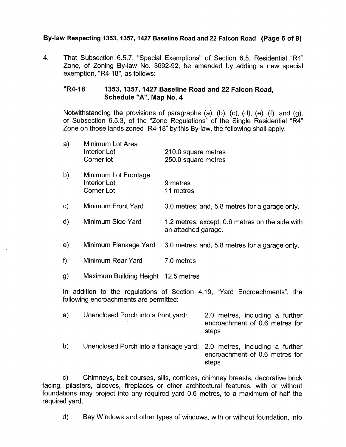### **By-law Respecting 1353,1357,1427 Baseline Road and 22 Falcon Road (Page 6 of 9)**

4. That Subsection 6.5.7, "Special Exemptions" of Section 6.5, Residential "R4" Zone, of Zoning By-law No. 3692-92, be amended by adding a new special exemption, "R4-18", as follows:

#### "R4-18 1353, 1357, 1427 Baseline Road and 22 Falcon Road, **Schedule "A", Map No. 4**

Notwithstanding the provisions of paragraphs (a), (b), (c), (d), (e), (f), and (g), of Subsection 6.5.3, of the "Zone Regulations" of the Single Residential "R4" Zone on those lands zoned "R4-18" by this By-law, the following shall apply:

| a)                                                                                                                  | Minimum Lot Area<br>Interior Lot<br>Corner lot     | 210.0 square metres<br>250.0 square metres                             |  |
|---------------------------------------------------------------------------------------------------------------------|----------------------------------------------------|------------------------------------------------------------------------|--|
| b)                                                                                                                  | Minimum Lot Frontage<br>Interior Lot<br>Corner Lot | 9 metres<br>11 metres                                                  |  |
| c)                                                                                                                  | Minimum Front Yard                                 | 3.0 metres; and, 5.8 metres for a garage only.                         |  |
| d)                                                                                                                  | Minimum Side Yard                                  | 1.2 metres; except, 0.6 metres on the side with<br>an attached garage. |  |
| e)                                                                                                                  | Minimum Flankage Yard                              | 3.0 metres; and, 5.8 metres for a garage only.                         |  |
| f)                                                                                                                  | Minimum Rear Yard                                  | 7.0 metres                                                             |  |
| g)                                                                                                                  | Maximum Building Height 12.5 metres                |                                                                        |  |
| In addition to the regulations of Section 4.19, "Yard Encroachments", the<br>following encroachments are permitted: |                                                    |                                                                        |  |

| a) | Unenclosed Porch into a front yard:                                    | 2.0 metres, including a further<br>encroachment of 0.6 metres for<br>steps |
|----|------------------------------------------------------------------------|----------------------------------------------------------------------------|
| b) | Unenclosed Porch into a flankage yard: 2.0 metres, including a further | encroachment of 0.6 metres for<br>steps                                    |

c) Chimneys, belt courses, sills, cornices, chimney breasts, decorative brick facing, pilasters, alcoves, fireplaces or other architectural features, with or without foundations may project into any required yard 0.6 metres, to a maximum of half the required yard.

d) Bay Windows and other types of windows, with or without foundation, into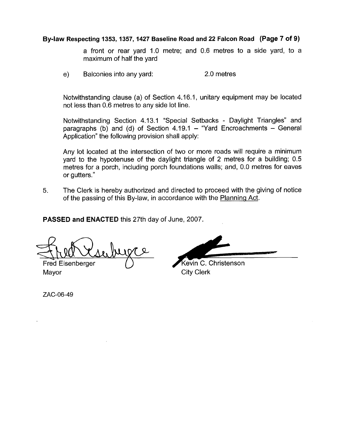#### **Bylaw Respecting 1353,1357,1427 Baseline Road and 22 Falcon Road (Page 7 of 9)**

a front or rear yard 1.0 metre; and 0.6 metres to a side yard, to a maximum of half the yard

e) Balconies into any yard: 2.0 metres

Notwithstanding clause (a) of Section 4.16.1, unitary equipment may be located not less than 0.6 metres to any side lot line.

Notwithstanding Section 4.13.1 "Special Setbacks - Daylight Triangles" and paragraphs (b) and (d) of Section  $4.19.1$  – "Yard Encroachments – General Application" the following provision shall apply:

Any lot located at the intersection of *two* or more roads will require a minimum yard to the hypotenuse of the daylight triangle of 2 metres for a building; 0.5 metres for a porch, including porch foundations walls; and, 0.0 metres for eaves or gutters. "

**5.** The Clerk is hereby authorized and directed to proceed with the giving of notice of the passing of this By-law, in accordance with the Planning Act.

**PASSED and ENACTED** this 27th day of June, 2007.

**u.**  Fred Eisenberger

Mayor City Clerk

Kevin C. Christenson

ZAC-06-49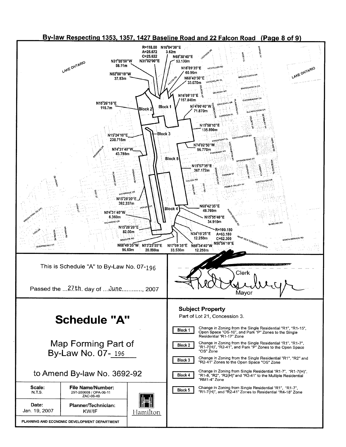